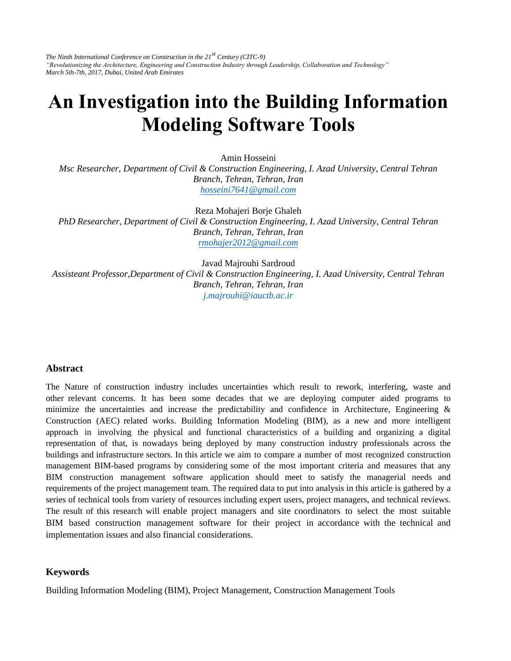*The Ninth International Conference on Construction in the 21st Century (CITC-9) "Revolutionizing the Architecture, Engineering and Construction Industry through Leadership, Collaboration and Technology" March 5th-7th, 2017, Dubai, United Arab Emirates* 

# **An Investigation into the Building Information Modeling Software Tools**

Amin Hosseini

*Msc Researcher, Department of Civil & Construction Engineering, I. Azad University, Central Tehran Branch, Tehran, Tehran, Iran [hosseini7641@gmail.com](mailto:hosseini7641@gmail.com)*

Reza Mohajeri Borje Ghaleh

*PhD Researcher, Department of Civil & Construction Engineering, I. Azad University, Central Tehran Branch, Tehran, Tehran, Iran [rmohajer2012@gmail.com](mailto:rmohajer2012@gmail.com)*

Javad Majrouhi Sardroud

*Assisteant Professor,Department of Civil & Construction Engineering, I. Azad University, Central Tehran Branch, Tehran, Tehran, Iran j.majrouhi@iauctb.ac.ir*

### **Abstract**

The Nature of construction industry includes uncertainties which result to rework, interfering, waste and other relevant concerns. It has been some decades that we are deploying computer aided programs to minimize the uncertainties and increase the predictability and confidence in Architecture, Engineering & Construction (AEC) related works. Building Information Modeling (BIM), as a new and more intelligent approach in involving the physical and functional characteristics of a building and organizing a digital representation of that, is nowadays being deployed by many construction industry professionals across the buildings and infrastructure sectors. In this article we aim to compare a number of most recognized construction management BIM-based programs by considering some of the most important criteria and measures that any BIM construction management software application should meet to satisfy the managerial needs and requirements of the project management team. The required data to put into analysis in this article is gathered by a series of technical tools from variety of resources including expert users, project managers, and technical reviews. The result of this research will enable project managers and site coordinators to select the most suitable BIM based construction management software for their project in accordance with the technical and implementation issues and also financial considerations.

#### **Keywords**

Building Information Modeling (BIM), Project Management, Construction Management Tools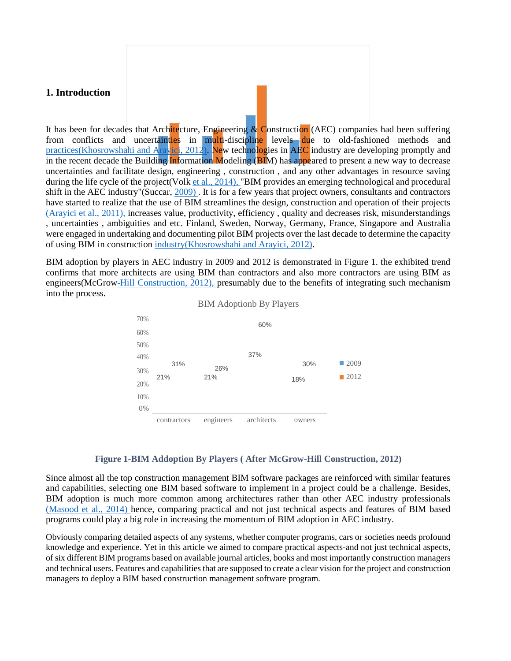### **1. Introduction**

It has been for decades that Architecture, Engineering  $\&$  Construction (AEC) companies had been suffering from conflicts and uncertainties in multi-discipline levels due to old-fashioned methods and [practices\(Khosrowshahi and Arayici, 2012\).](file:///F:/87.doc%23page8) New technologies in AEC industry are developing promptly and in the recent decade the Building Information Modeling (BIM) has appeared to present a new way to decrease uncertainties and facilitate design, engineering , construction , and any other advantages in resource saving during the life cycle of the project(Volk [et al., 2014\), "](file:///F:/87.doc%23page8)BIM provides an emerging technological and procedural shift in the AEC industry"(Succar, 2009). It is for a few years that project owners, consultants and contractors have started to realize that the use of BIM streamlines the design, construction and operation of their projects [\(Arayici et al., 2011\), i](file:///F:/87.doc%23page8)ncreases value, productivity, efficiency , quality and decreases risk, misunderstandings , uncertainties , ambiguities and etc. Finland, Sweden, Norway, Germany, France, Singapore and Australia were engaged in undertaking and documenting pilot BIM projects over the last decade to determine the capacity of using BIM in construction [industry\(Khosrowshahi and Arayici, 2012\).](file:///F:/87.doc%23page8)

BIM adoption by players in AEC industry in 2009 and 2012 is demonstrated in Figure 1. the exhibited trend confirms that more architects are using BIM than contractors and also more contractors are using BIM as engineers(McGro[w-Hill Construction, 2012\), p](file:///F:/87.doc%23page8)resumably due to the benefits of integrating such mechanism into the process.





### **Figure 1-BIM Addoption By Players ( After McGrow-Hill Construction, 2012)**

Since almost all the top construction management BIM software packages are reinforced with similar features and capabilities, selecting one BIM based software to implement in a project could be a challenge. Besides, BIM adoption is much more common among architectures rather than other AEC industry professionals [\(Masood et al., 2014\) h](file:///F:/87.doc%23page8)ence, comparing practical and not just technical aspects and features of BIM based programs could play a big role in increasing the momentum of BIM adoption in AEC industry.

Obviously comparing detailed aspects of any systems, whether computer programs, cars or societies needs profound knowledge and experience. Yet in this article we aimed to compare practical aspects-and not just technical aspects, of six different BIM programs based on available journal articles, books and most importantly construction managers and technical users. Features and capabilities that are supposed to create a clear vision for the project and construction managers to deploy a BIM based construction management software program.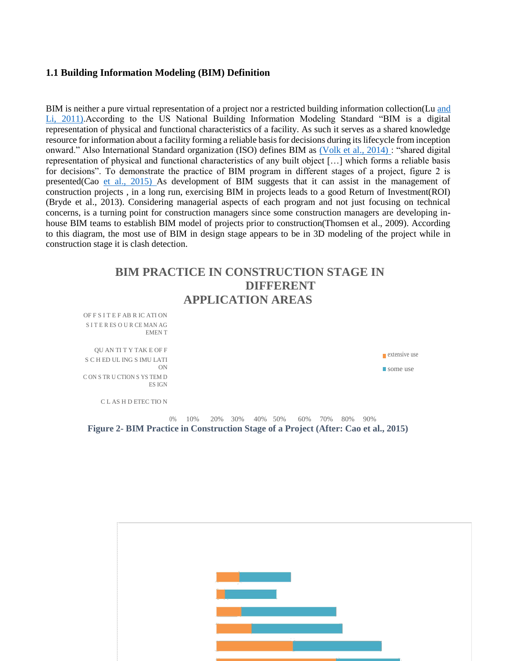### **1.1 Building Information Modeling (BIM) Definition**

BIM is neither a pure virtual representation of a project nor a restricted building information collection(Lu [and](file:///F:/87.doc%23page8) [Li, 2011\).](file:///F:/87.doc%23page8)According to the US National Building Information Modeling Standard "BIM is a digital representation of physical and functional characteristics of a facility. As such it serves as a shared knowledge resource for information about a facility forming a reliable basis for decisions during its lifecycle from inception onward." Also International Standard organization (ISO) defines BIM as [\(Volk et al., 2014\) :](file:///F:/87.doc%23page8) "shared digital representation of physical and functional characteristics of any built object […] which forms a reliable basis for decisions". To demonstrate the practice of BIM program in different stages of a project, figure 2 is presented(Cao [et al., 2015\) A](file:///F:/87.doc%23page8)s development of BIM suggests that it can assist in the management of construction projects , in a long run, exercising BIM in projects leads to a good Return of Investment(ROI) (Bryde et al., 2013). Considering managerial aspects of each program and not just focusing on technical concerns, is a turning point for construction managers since some construction managers are developing inhouse BIM teams to establish BIM model of projects prior to construction(Thomsen et al., 2009). According to this diagram, the most use of BIM in design stage appears to be in 3D modeling of the project while in construction stage it is clash detection.

# **BIM PRACTICE IN CONSTRUCTION STAGE IN DIFFERENT APPLICATION AREAS**

OF F S I T E F AB R IC ATI ON S I T E R ES O U R CE MAN AG EMEN T

QU AN TI T Y TAK E OF F 11% 43% extensive use S C H ED UL ING S IMU LATI ON 16% 42% C ON S TR U CTION S YS TEM D ES IGN

C L AS H D ETEC TIO N

0% 10% 20% 30% 40% 50% 60% 70% 80% 90% **Figure 2- BIM Practice in Construction Stage of a Project (After: Cao et al., 2015)**



some use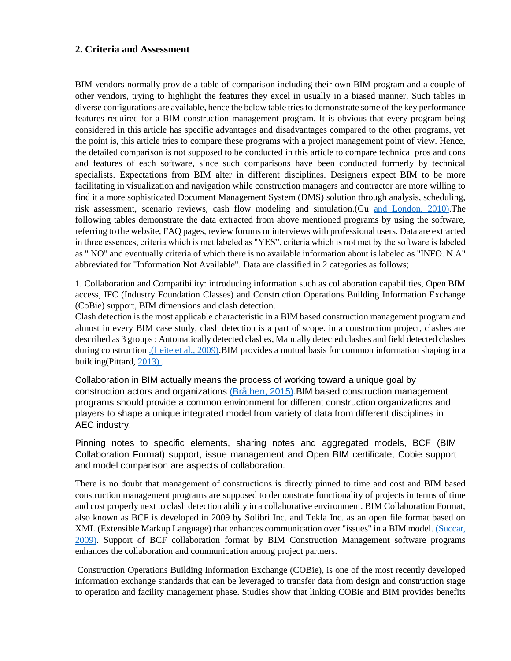### **2. Criteria and Assessment**

BIM vendors normally provide a table of comparison including their own BIM program and a couple of other vendors, trying to highlight the features they excel in usually in a biased manner. Such tables in diverse configurations are available, hence the below table tries to demonstrate some of the key performance features required for a BIM construction management program. It is obvious that every program being considered in this article has specific advantages and disadvantages compared to the other programs, yet the point is, this article tries to compare these programs with a project management point of view. Hence, the detailed comparison is not supposed to be conducted in this article to compare technical pros and cons and features of each software, since such comparisons have been conducted formerly by technical specialists. Expectations from BIM alter in different disciplines. Designers expect BIM to be more facilitating in visualization and navigation while construction managers and contractor are more willing to find it a more sophisticated Document Management System (DMS) solution through analysis, scheduling, risk assessment, scenario reviews, cash flow modeling and simulation.(Gu [and London, 2010\).](file:///F:/87.doc%23page8)The following tables demonstrate the data extracted from above mentioned programs by using the software, referring to the website, FAQ pages, review forums or interviews with professional users. Data are extracted in three essences, criteria which is met labeled as "YES", criteria which is not met by the software is labeled as " NO" and eventually criteria of which there is no available information about is labeled as "INFO. N.A" abbreviated for "Information Not Available". Data are classified in 2 categories as follows;

1. Collaboration and Compatibility: introducing information such as collaboration capabilities, Open BIM access, IFC (Industry Foundation Classes) and Construction Operations Building Information Exchange (CoBie) support, BIM dimensions and clash detection.

Clash detection is the most applicable characteristic in a BIM based construction management program and almost in every BIM case study, clash detection is a part of scope. in a construction project, clashes are described as 3 groups : Automatically detected clashes, Manually detected clashes and field detected clashes during construction [.\(Leite et al., 2009\).](file:///F:/87.doc%23page8)BIM provides a mutual basis for common information shaping in a building(Pittard, [2013\) .](file:///F:/87.doc%23page8)

Collaboration in BIM actually means the process of working toward a unique goal by construction actors and organizations [\(Bråthen, 2015\).](file:///F:/87.doc%23page8)BIM based construction management programs should provide a common environment for different construction organizations and players to shape a unique integrated model from variety of data from different disciplines in AEC industry.

Pinning notes to specific elements, sharing notes and aggregated models, BCF (BIM Collaboration Format) support, issue management and Open BIM certificate, Cobie support and model comparison are aspects of collaboration.

There is no doubt that management of constructions is directly pinned to time and cost and BIM based construction management programs are supposed to demonstrate functionality of projects in terms of time and cost properly next to clash detection ability in a collaborative environment. BIM Collaboration Format, also known as BCF is developed in 2009 by Solibri Inc. and Tekla Inc. as an open file format based on XML (Extensible Markup Language) that enhances communication over "issues" in a BIM model[. \(Succar,](file:///F:/87.doc%23page8)  [2009\).](file:///F:/87.doc%23page8) Support of BCF collaboration format by BIM Construction Management software programs enhances the collaboration and communication among project partners.

Construction Operations Building Information Exchange (COBie), is one of the most recently developed information exchange standards that can be leveraged to transfer data from design and construction stage to operation and facility management phase. Studies show that linking COBie and BIM provides benefits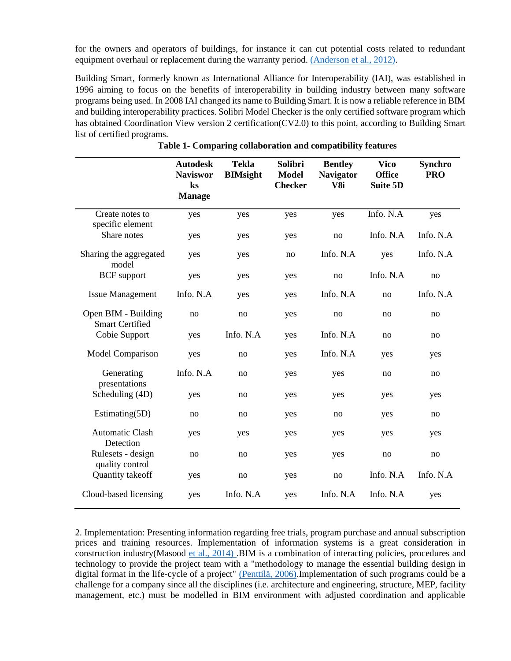for the owners and operators of buildings, for instance it can cut potential costs related to redundant equipment overhaul or replacement during the warranty period. [\(Anderson et al., 2012\).](file:///F:/87.doc%23page8)

Building Smart, formerly known as International Alliance for Interoperability (IAI), was established in 1996 aiming to focus on the benefits of interoperability in building industry between many software programs being used. In 2008 IAI changed its name to Building Smart. It is now a reliable reference in BIM and building interoperability practices. Solibri Model Checker is the only certified software program which has obtained Coordination View version 2 certification(CV2.0) to this point, according to Building Smart list of certified programs.

|                                               | <b>Autodesk</b><br><b>Naviswor</b><br>$\mathbf{k}$ s<br><b>Manage</b> | <b>Tekla</b><br><b>BIMsight</b> | Solibri<br><b>Model</b><br><b>Checker</b> | <b>Bentley</b><br><b>Navigator</b><br>V <sub>8i</sub> | <b>Vico</b><br><b>Office</b><br><b>Suite 5D</b> | <b>Synchro</b><br><b>PRO</b> |
|-----------------------------------------------|-----------------------------------------------------------------------|---------------------------------|-------------------------------------------|-------------------------------------------------------|-------------------------------------------------|------------------------------|
| Create notes to<br>specific element           | yes                                                                   | yes                             | yes                                       | yes                                                   | Info. N.A                                       | yes                          |
| Share notes                                   | yes                                                                   | yes                             | yes                                       | no                                                    | Info. N.A                                       | Info. N.A                    |
| Sharing the aggregated<br>model               | yes                                                                   | yes                             | no                                        | Info. N.A                                             | yes                                             | Info. N.A                    |
| <b>BCF</b> support                            | yes                                                                   | yes                             | yes                                       | no                                                    | Info. N.A                                       | no                           |
| <b>Issue Management</b>                       | Info. N.A                                                             | yes                             | yes                                       | Info. N.A                                             | no                                              | Info. N.A                    |
| Open BIM - Building<br><b>Smart Certified</b> | no                                                                    | no                              | yes                                       | no                                                    | no                                              | no                           |
| Cobie Support                                 | yes                                                                   | Info. N.A                       | yes                                       | Info. N.A                                             | no                                              | no                           |
| Model Comparison                              | yes                                                                   | no                              | yes                                       | Info. N.A                                             | yes                                             | yes                          |
| Generating<br>presentations                   | Info. N.A                                                             | no                              | yes                                       | yes                                                   | no                                              | no                           |
| Scheduling (4D)                               | yes                                                                   | no                              | yes                                       | yes                                                   | yes                                             | yes                          |
| Estimating $(5D)$                             | no                                                                    | no                              | yes                                       | no                                                    | yes                                             | no                           |
| <b>Automatic Clash</b><br>Detection           | yes                                                                   | yes                             | yes                                       | yes                                                   | yes                                             | yes                          |
| Rulesets - design<br>quality control          | no                                                                    | no                              | yes                                       | yes                                                   | no                                              | no                           |
| Quantity takeoff                              | yes                                                                   | no                              | yes                                       | no                                                    | Info. N.A                                       | Info. N.A                    |
| Cloud-based licensing                         | yes                                                                   | Info. N.A                       | yes                                       | Info. N.A                                             | Info. N.A                                       | yes                          |

**Table 1- Comparing collaboration and compatibility features**

2. Implementation: Presenting information regarding free trials, program purchase and annual subscription prices and training resources. Implementation of information systems is a great consideration in construction industry(Masood [et al., 2014\) .](file:///F:/87.doc%23page8)BIM is a combination of interacting policies, procedures and technology to provide the project team with a "methodology to manage the essential building design in digital format in the life-cycle of a project" [\(Penttilä, 2006\).](file:///F:/87.doc%23page8) Implementation of such programs could be a challenge for a company since all the disciplines (i.e. architecture and engineering, structure, MEP, facility management, etc.) must be modelled in BIM environment with adjusted coordination and applicable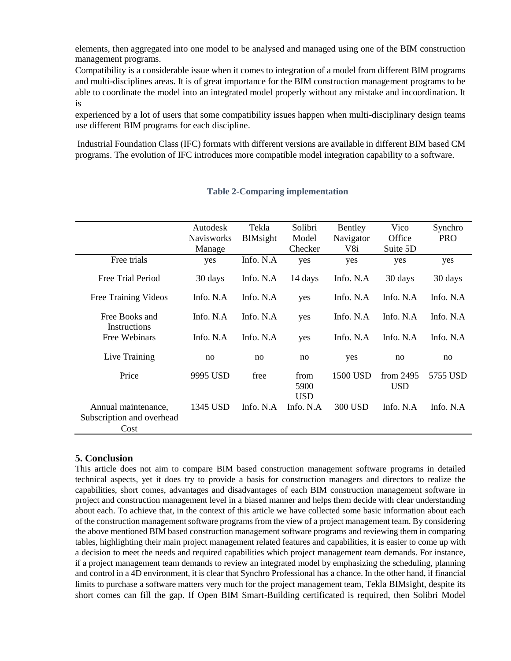elements, then aggregated into one model to be analysed and managed using one of the BIM construction management programs.

Compatibility is a considerable issue when it comes to integration of a model from different BIM programs and multi-disciplines areas. It is of great importance for the BIM construction management programs to be able to coordinate the model into an integrated model properly without any mistake and incoordination. It is

experienced by a lot of users that some compatibility issues happen when multi-disciplinary design teams use different BIM programs for each discipline.

Industrial Foundation Class (IFC) formats with different versions are available in different BIM based CM programs. The evolution of IFC introduces more compatible model integration capability to a software.

|                                                          | Autodesk          | Tekla           | Solibri                    | Bentley     | Vico                      | Synchro     |
|----------------------------------------------------------|-------------------|-----------------|----------------------------|-------------|---------------------------|-------------|
|                                                          | <b>Navisworks</b> | <b>BIMsight</b> | Model                      | Navigator   | Office                    | <b>PRO</b>  |
|                                                          | Manage            |                 | Checker                    | V8i         | Suite 5D                  |             |
| Free trials                                              | yes               | Info. N.A       | yes                        | yes         | yes                       | yes         |
| Free Trial Period                                        | 30 days           | Info. N.A       | 14 days                    | Info. N.A   | 30 days                   | 30 days     |
| Free Training Videos                                     | Info. $N.A$       | Info. $N.A$     | yes                        | Info. $N.A$ | Info. $N.A$               | Info. $N.A$ |
| Free Books and<br>Instructions                           | Info. $N.A$       | Info. $N.A$     | yes                        | Info. $N.A$ | Info. $N.A$               | Info. $N.A$ |
| Free Webinars                                            | Info. $N.A$       | Info. $N.A$     | yes                        | Info. $N.A$ | Info. $N.A$               | Info. $N.A$ |
| Live Training                                            | no                | no              | no                         | yes         | no                        | no          |
| Price                                                    | 9995 USD          | free            | from<br>5900<br><b>USD</b> | 1500 USD    | from $2495$<br><b>USD</b> | 5755 USD    |
| Annual maintenance,<br>Subscription and overhead<br>Cost | 1345 USD          | Info. $N.A$     | Info. N.A.                 | 300 USD     | Info. $N.A$               | Info. $N.A$ |

### **Table 2-Comparing implementation**

### **5. Conclusion**

This article does not aim to compare BIM based construction management software programs in detailed technical aspects, yet it does try to provide a basis for construction managers and directors to realize the capabilities, short comes, advantages and disadvantages of each BIM construction management software in project and construction management level in a biased manner and helps them decide with clear understanding about each. To achieve that, in the context of this article we have collected some basic information about each of the construction management software programs from the view of a project management team. By considering the above mentioned BIM based construction management software programs and reviewing them in comparing tables, highlighting their main project management related features and capabilities, it is easier to come up with a decision to meet the needs and required capabilities which project management team demands. For instance, if a project management team demands to review an integrated model by emphasizing the scheduling, planning and control in a 4D environment, it is clear that Synchro Professional has a chance. In the other hand, if financial limits to purchase a software matters very much for the project management team, Tekla BIMsight, despite its short comes can fill the gap. If Open BIM Smart-Building certificated is required, then Solibri Model